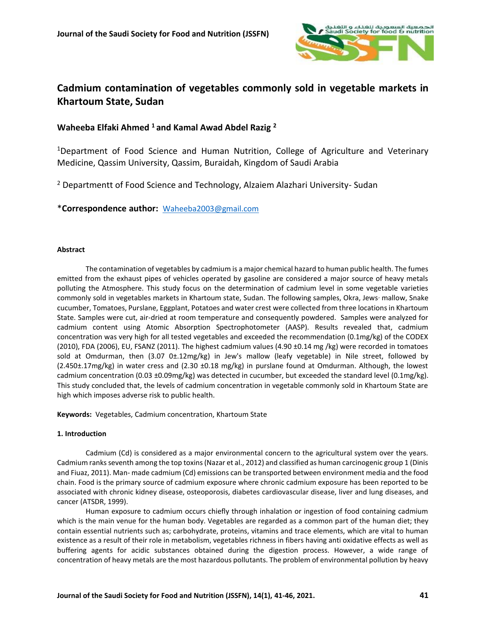

# **Cadmium contamination of vegetables commonly sold in vegetable markets in Khartoum State, Sudan**

# **Waheeba Elfaki Ahmed <sup>1</sup> and Kamal Awad Abdel Razig <sup>2</sup>**

<sup>1</sup>Department of Food Science and Human Nutrition, College of Agriculture and Veterinary Medicine, Qassim University, Qassim, Buraidah, Kingdom of Saudi Arabia

<sup>2</sup> Departmentt of Food Science and Technology, Alzaiem Alazhari University- Sudan

\***Correspondence author:** [Waheeba2003@gmail.com](mailto:Waheeba2003@gmail.com)

# **Abstract**

The contamination of vegetables by cadmium is a major chemical hazard to human public health. The fumes emitted from the exhaust pipes of vehicles operated by gasoline are considered a major source of heavy metals polluting the Atmosphere. This study focus on the determination of cadmium level in some vegetable varieties commonly sold in vegetables markets in Khartoum state, Sudan. The following samples, Okra, Jews<sup>,</sup> mallow, Snake cucumber, Tomatoes, Purslane, Eggplant, Potatoes and water crest were collected from three locations in Khartoum State. Samples were cut, air-dried at room temperature and consequently powdered. Samples were analyzed for cadmium content using Atomic Absorption Spectrophotometer (AASP). Results revealed that, cadmium concentration was very high for all tested vegetables and exceeded the recommendation (0.1mg/kg) of the CODEX (2010), FDA (2006), EU, FSANZ (2011). The highest cadmium values (4.90 ±0.14 mg /kg) were recorded in tomatoes sold at Omdurman, then (3.07 0±.12mg/kg) in Jew's mallow (leafy vegetable) in Nile street, followed by (2.450±.17mg/kg) in water cress and (2.30 ±0.18 mg/kg) in purslane found at Omdurman. Although, the lowest cadmium concentration (0.03 ±0.09mg/kg) was detected in cucumber, but exceeded the standard level (0.1mg/kg). This study concluded that, the levels of cadmium concentration in vegetable commonly sold in Khartoum State are high which imposes adverse risk to public health.

**Keywords:** Vegetables, Cadmium concentration, Khartoum State

### **1. Introduction**

Cadmium (Cd) is considered as a major environmental concern to the agricultural system over the years. Cadmium ranks seventh among the top toxins (Nazar et al., 2012) and classified as human carcinogenic group 1 (Dinis and Fiuaz, 2011). Man- made cadmium (Cd) emissions can be transported between environment media and the food chain. Food is the primary source of cadmium exposure where chronic cadmium exposure has been reported to be associated with chronic kidney disease, osteoporosis, diabetes cardiovascular disease, liver and lung diseases, and cancer (ATSDR, 1999).

Human exposure to cadmium occurs chiefly through inhalation or ingestion of food containing cadmium which is the main venue for the human body. Vegetables are regarded as a common part of the human diet; they contain essential nutrients such as; carbohydrate, proteins, vitamins and trace elements, which are vital to human existence as a result of their role in metabolism, vegetables richness in fibers having anti oxidative effects as well as buffering agents for acidic substances obtained during the digestion process. However, a wide range of concentration of heavy metals are the most hazardous pollutants. The problem of environmental pollution by heavy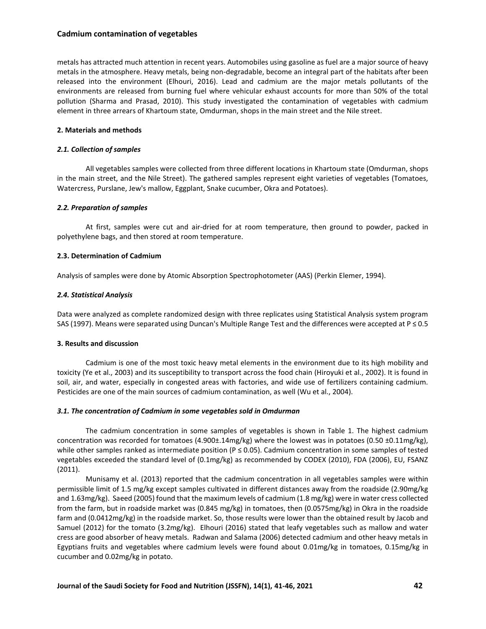# **Cadmium contamination of vegetables**

metals has attracted much attention in recent years. Automobiles using gasoline as fuel are a major source of heavy metals in the atmosphere. Heavy metals, being non-degradable, become an integral part of the habitats after been released into the environment (Elhouri, 2016). Lead and cadmium are the major metals pollutants of the environments are released from burning fuel where vehicular exhaust accounts for more than 50% of the total pollution (Sharma and Prasad, 2010). This study investigated the contamination of vegetables with cadmium element in three arrears of Khartoum state, Omdurman, shops in the main street and the Nile street.

# **2. Materials and methods**

# *2.1. Collection of samples*

All vegetables samples were collected from three different locations in Khartoum state (Omdurman, shops in the main street, and the Nile Street). The gathered samples represent eight varieties of vegetables (Tomatoes, Watercress, Purslane, Jew's mallow, Eggplant, Snake cucumber, Okra and Potatoes).

# *2.2. Preparation of samples*

At first, samples were cut and air-dried for at room temperature, then ground to powder, packed in polyethylene bags, and then stored at room temperature.

# **2.3. Determination of Cadmium**

Analysis of samples were done by Atomic Absorption Spectrophotometer (AAS) (Perkin Elemer, 1994).

# *2.4. Statistical Analysis*

Data were analyzed as complete randomized design with three replicates using Statistical Analysis system program SAS (1997). Means were separated using Duncan's Multiple Range Test and the differences were accepted at P ≤ 0.5

### **3. Results and discussion**

Cadmium is one of the most toxic heavy metal elements in the environment due to its high mobility and toxicity (Ye et al., 2003) and its susceptibility to transport across the food chain (Hiroyuki et al., 2002). It is found in soil, air, and water, especially in congested areas with factories, and wide use of fertilizers containing cadmium. Pesticides are one of the main sources of cadmium contamination, as well (Wu et al., 2004).

### *3.1. The concentration of Cadmium in some vegetables sold in Omdurman*

The cadmium concentration in some samples of vegetables is shown in Table 1. The highest cadmium concentration was recorded for tomatoes (4.900±.14mg/kg) where the lowest was in potatoes (0.50 ±0.11mg/kg), while other samples ranked as intermediate position (P ≤ 0.05). Cadmium concentration in some samples of tested vegetables exceeded the standard level of (0.1mg/kg) as recommended by CODEX (2010), FDA (2006), EU, FSANZ (2011).

Munisamy et al. (2013) reported that the cadmium concentration in all vegetables samples were within permissible limit of 1.5 mg/kg except samples cultivated in different distances away from the roadside (2.90mg/kg and 1.63mg/kg). Saeed (2005) found that the maximum levels of cadmium (1.8 mg/kg) were in water cress collected from the farm, but in roadside market was (0.845 mg/kg) in tomatoes, then (0.0575mg/kg) in Okra in the roadside farm and (0.0412mg/kg) in the roadside market. So, those results were lower than the obtained result by Jacob and Samuel (2012) for the tomato (3.2mg/kg). Elhouri (2016) stated that leafy vegetables such as mallow and water cress are good absorber of heavy metals. Radwan and Salama (2006) detected cadmium and other heavy metals in Egyptians fruits and vegetables where cadmium levels were found about 0.01mg/kg in tomatoes, 0.15mg/kg in cucumber and 0.02mg/kg in potato.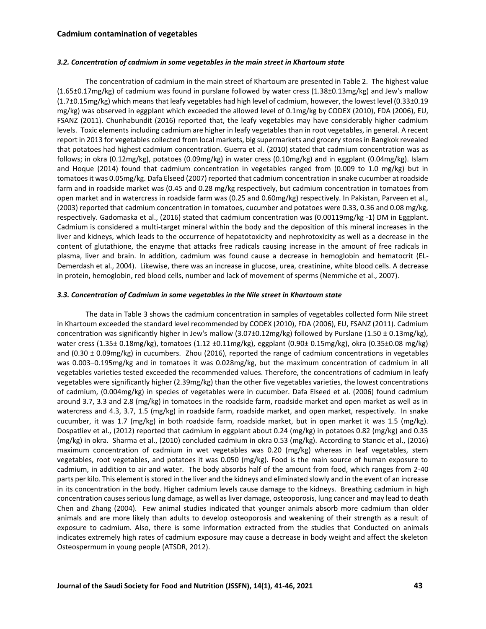### *3.2. Concentration of cadmium in some vegetables in the main street in Khartoum state*

The concentration of cadmium in the main street of Khartoum are presented in Table 2. The highest value (1.65±0.17mg/kg) of cadmium was found in purslane followed by water cress (1.38±0.13mg/kg) and Jew's mallow (1.7±0.15mg/kg) which means that leafy vegetables had high level of cadmium, however, the lowest level (0.33±0.19 mg/kg) was observed in eggplant which exceeded the allowed level of 0.1mg/kg by CODEX (2010), FDA (2006), EU, FSANZ (2011). Chunhabundit (2016) reported that, the leafy vegetables may have considerably higher cadmium levels. Toxic elements including cadmium are higher in leafy vegetables than in root vegetables, in general. A recent report in 2013 for vegetables collected from local markets, big supermarkets and grocery stores in Bangkok revealed that potatoes had highest cadmium concentration. Guerra et al. (2010) stated that cadmium concentration was as follows; in okra (0.12mg/kg), potatoes (0.09mg/kg) in water cress (0.10mg/kg) and in eggplant (0.04mg/kg). Islam and Hoque (2014) found that cadmium concentration in vegetables ranged from (0.009 to 1.0 mg/kg) but in tomatoes it was 0.05mg/kg. Dafa Elseed (2007) reported that cadmium concentration in snake cucumber at roadside farm and in roadside market was (0.45 and 0.28 mg/kg respectively, but cadmium concentration in tomatoes from open market and in watercress in roadside farm was (0.25 and 0.60mg/kg) respectively. In Pakistan, Parveen et al., (2003) reported that cadmium concentration in tomatoes, cucumber and potatoes were 0.33, 0.36 and 0.08 mg/kg, respectively. Gadomaska et al., (2016) stated that cadmium concentration was (0.00119mg/kg -1) DM in Eggplant. Cadmium is considered a multi-target mineral within the body and the deposition of this mineral increases in the liver and kidneys, which leads to the occurrence of hepatotoxicity and nephrotoxicity as well as a decrease in the content of glutathione, the enzyme that attacks free radicals causing increase in the amount of free radicals in plasma, liver and brain. In addition, cadmium was found cause a decrease in hemoglobin and hematocrit (EL-Demerdash et al., 2004). Likewise, there was an increase in glucose, urea, creatinine, white blood cells. A decrease in protein, hemoglobin, red blood cells, number and lack of movement of sperms (Nemmiche et al., 2007).

#### *3.3. Concentration of Cadmium in some vegetables in the Nile street in Khartoum state*

The data in Table 3 shows the cadmium concentration in samples of vegetables collected form Nile street in Khartoum exceeded the standard level recommended by CODEX (2010), FDA (2006), EU, FSANZ (2011). Cadmium concentration was significantly higher in Jew's mallow (3.07±0.12mg/kg) followed by Purslane (1.50 ± 0.13mg/kg), water cress (1.35± 0.18mg/kg), tomatoes (1.12 ±0.11mg/kg), eggplant (0.90± 0.15mg/kg), okra (0.35±0.08 mg/kg) and (0.30 ± 0.09mg/kg) in cucumbers. Zhou (2016), reported the range of cadmium concentrations in vegetables was 0.003–0.195mg/kg and in tomatoes it was 0.028mg/kg, but the maximum concentration of cadmium in all vegetables varieties tested exceeded the recommended values. Therefore, the concentrations of cadmium in leafy vegetables were significantly higher (2.39mg/kg) than the other five vegetables varieties, the lowest concentrations of cadmium, (0.004mg/kg) in species of vegetables were in cucumber. Dafa Elseed et al. (2006) found cadmium around 3.7, 3.3 and 2.8 (mg/kg) in tomatoes in the roadside farm, roadside market and open market as well as in watercress and 4.3, 3.7, 1.5 (mg/kg) in roadside farm, roadside market, and open market, respectively. In snake cucumber, it was 1.7 (mg/kg) in both roadside farm, roadside market, but in open market it was 1.5 (mg/kg). Dospatliev et al., (2012) reported that cadmium in eggplant about 0.24 (mg/kg) in potatoes 0.82 (mg/kg) and 0.35 (mg/kg) in okra. Sharma et al., (2010) concluded cadmium in okra 0.53 (mg/kg). According to Stancic et al., (2016) maximum concentration of cadmium in wet vegetables was 0.20 (mg/kg) whereas in leaf vegetables, stem vegetables, root vegetables, and potatoes it was 0.050 (mg/kg). Food is the main source of human exposure to cadmium, in addition to air and water. The body absorbs half of the amount from food, which ranges from 2-40 parts per kilo. This element is stored in the liver and the kidneys and eliminated slowly and in the event of an increase in its concentration in the body. Higher cadmium levels cause damage to the kidneys. Breathing cadmium in high concentration causes serious lung damage, as well as liver damage, osteoporosis, lung cancer and may lead to death Chen and Zhang (2004). Few animal studies indicated that younger animals absorb more cadmium than older animals and are more likely than adults to develop osteoporosis and weakening of their strength as a result of exposure to cadmium. Also, there is some information extracted from the studies that Conducted on animals indicates extremely high rates of cadmium exposure may cause a decrease in body weight and affect the skeleton Osteospermum in young people (ATSDR, 2012).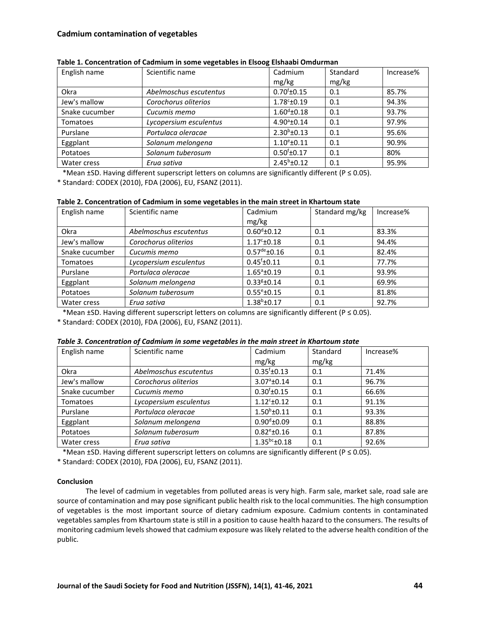| English name   | Scientific name        | Cadmium              | Standard | Increase% |
|----------------|------------------------|----------------------|----------|-----------|
|                |                        | mg/kg                | mg/kg    |           |
| Okra           | Abelmoschus escutentus | $0.70^{f}$ ±0.15     | 0.1      | 85.7%     |
| Jew's mallow   | Corochorus oliterios   | $1.78^{\circ}$ ±0.19 | 0.1      | 94.3%     |
| Snake cucumber | Cucumis memo           | $1.60^{\circ}$ ±0.18 | 0.1      | 93.7%     |
| Tomatoes       | Lycopersium esculentus | $4.90^{\circ}$ ±0.14 | 0.1      | 97.9%     |
| Purslane       | Portulaca oleracae     | $2.30^{b} \pm 0.13$  | 0.1      | 95.6%     |
| Eggplant       | Solanum melongena      | $1.10^{\circ}$ ±0.11 | 0.1      | 90.9%     |
| Potatoes       | Solanum tuberosum      | $0.50^{f}$ ±0.17     | 0.1      | 80%       |
| Water cress    | Erua sativa            | $2.45^b \pm 0.12$    | 0.1      | 95.9%     |

| Table 1. Concentration of Cadmium in some vegetables in Elsoog Elshaabi Omdurman |  |  |
|----------------------------------------------------------------------------------|--|--|
|----------------------------------------------------------------------------------|--|--|

\*Mean ±SD. Having different superscript letters on columns are significantly different (P ≤ 0.05).

\* Standard: CODEX (2010), FDA (2006), EU, FSANZ (2011).

| Table 2. Concentration of Cadmium in some vegetables in the main street in Khartoum state |  |
|-------------------------------------------------------------------------------------------|--|
|-------------------------------------------------------------------------------------------|--|

| English name    | Scientific name        | Cadmium                    | Standard mg/kg | Increase% |
|-----------------|------------------------|----------------------------|----------------|-----------|
|                 |                        | mg/kg                      |                |           |
| Okra            | Abelmoschus escutentus | $0.60^{d}$ ±0.12           | 0.1            | 83.3%     |
| Jew's mallow    | Corochorus oliterios   | $1.17^{\circ}$ ±0.18       | 0.1            | 94.4%     |
| Snake cucumber  | Cucumis memo           | $0.57^{\text{de}}\pm 0.16$ | 0.1            | 82.4%     |
| <b>Tomatoes</b> | Lycopersium esculentus | $0.45^{\dagger}$ ±0.11     | 0.1            | 77.7%     |
| Purslane        | Portulaca oleracae     | $1.65^{\circ}$ ±0.19       | 0.1            | 93.9%     |
| Eggplant        | Solanum melongena      | $0.33g$ ±0.14              | 0.1            | 69.9%     |
| Potatoes        | Solanum tuberosum      | $0.55^{\circ}$ ±0.15       | 0.1            | 81.8%     |
| Water cress     | Erua sativa            | $1.38^{b}$ ±0.17           | 0.1            | 92.7%     |

\*Mean ±SD. Having different superscript letters on columns are significantly different (P ≤ 0.05).

\* Standard: CODEX (2010), FDA (2006), EU, FSANZ (2011).

| Table 3. Concentration of Cadmium in some vegetables in the main street in Khartoum state |  |  |  |  |
|-------------------------------------------------------------------------------------------|--|--|--|--|
|-------------------------------------------------------------------------------------------|--|--|--|--|

| English name    | Scientific name        | Cadmium               | Standard | Increase% |
|-----------------|------------------------|-----------------------|----------|-----------|
|                 |                        | mg/kg                 | mg/kg    |           |
| Okra            | Abelmoschus escutentus | $0.35^{f}$ ±0.13      | 0.1      | 71.4%     |
| Jew's mallow    | Corochorus oliterios   | $3.07^{\circ}$ ±0.14  | 0.1      | 96.7%     |
| Snake cucumber  | Cucumis memo           | $0.30^{f}$ ±0.15      | 0.1      | 66.6%     |
| <b>Tomatoes</b> | Lycopersium esculentus | $1.12^{\circ}$ ± 0.12 | 0.1      | 91.1%     |
| Purslane        | Portulaca oleracae     | $1.50^b \pm 0.11$     | 0.1      | 93.3%     |
| Eggplant        | Solanum melongena      | $0.90^{d}$ ±0.09      | 0.1      | 88.8%     |
| Potatoes        | Solanum tuberosum      | $0.82^{\circ}$ ±0.16  | 0.1      | 87.8%     |
| Water cress     | Erua sativa            | $1.35^{bc}$ ±0.18     | 0.1      | 92.6%     |

\*Mean ±SD. Having different superscript letters on columns are significantly different (P ≤ 0.05).

\* Standard: CODEX (2010), FDA (2006), EU, FSANZ (2011).

# **Conclusion**

The level of cadmium in vegetables from polluted areas is very high. Farm sale, market sale, road sale are source of contamination and may pose significant public health risk to the local communities. The high consumption of vegetables is the most important source of dietary cadmium exposure. Cadmium contents in contaminated vegetables samples from Khartoum state is still in a position to cause health hazard to the consumers. The results of monitoring cadmium levels showed that cadmium exposure was likely related to the adverse health condition of the public.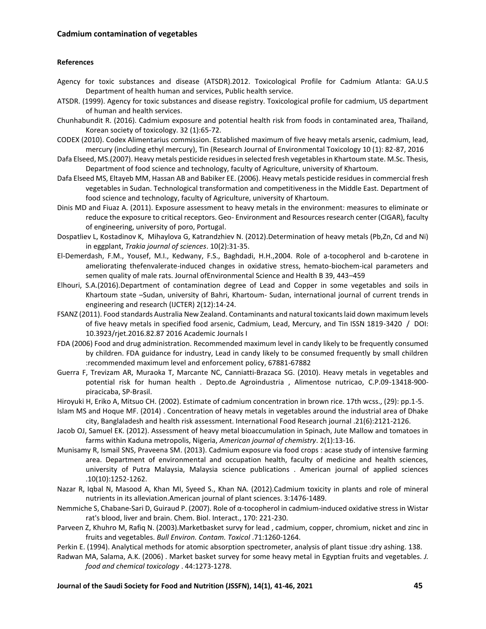# **References**

- Agency for toxic substances and disease (ATSDR).2012. Toxicological Profile for Cadmium Atlanta: GA.U.S Department of health human and services, Public health service.
- ATSDR. (1999). Agency for toxic substances and disease registry. Toxicological profile for cadmium, US department of human and health services.
- Chunhabundit R. (2016). Cadmium exposure and potential health risk from foods in contaminated area, Thailand, Korean society of toxicology. 32 (1):65-72.
- CODEX (2010). Codex Alimentarius commission. Established maximum of five heavy metals arsenic, cadmium, lead, mercury (including ethyl mercury), Tin (Research Journal of Environmental Toxicology 10 (1): 82-87, 2016
- Dafa Elseed, MS.(2007). Heavy metals pesticide residues in selected fresh vegetables in Khartoum state. M.Sc. Thesis, Department of food science and technology, faculty of Agriculture, university of Khartoum.
- Dafa Elseed MS, Eltayeb MM, Hassan AB and Babiker EE. (2006). Heavy metals pesticide residues in commercial fresh vegetables in Sudan. Technological transformation and competitiveness in the Middle East. Department of food science and technology, faculty of Agriculture, university of Khartoum.
- Dinis MD and Fiuaz A. (2011). Exposure assessment to heavy metals in the environment: measures to eliminate or reduce the exposure to critical receptors. Geo- Environment and Resources research center (CIGAR), faculty of engineering, university of poro, Portugal.
- Dospatliev L, Kostadinov K, Mihaylova G, Katrandzhiev N. (2012).Determination of heavy metals (Pb,Zn, Cd and Ni) in eggplant, *Trakia journal of sciences*. 10(2):31-35.
- El-Demerdash, F.M., Yousef, M.I., Kedwany, F.S., Baghdadi, H.H.,2004. Role of a-tocopherol and b-carotene in ameliorating thefenvalerate-induced changes in oxidative stress, hemato-biochem-ical parameters and semen quality of male rats. Journal ofEnvironmental Science and Health B 39, 443–459
- Elhouri, S.A.(2016).Department of contamination degree of Lead and Copper in some vegetables and soils in Khartoum state –Sudan, university of Bahri, Khartoum- Sudan, international journal of current trends in engineering and research (IJCTER) 2(12):14-24.
- FSANZ (2011). Food standards Australia New Zealand. Contaminants and natural toxicants laid down maximum levels of five heavy metals in specified food arsenic, Cadmium, Lead, Mercury, and Tin ISSN 1819-3420 / DOI: 10.3923/rjet.2016.82.87 2016 Academic Journals I
- FDA (2006) Food and drug administration. Recommended maximum level in candy likely to be frequently consumed by children. FDA guidance for industry, Lead in candy likely to be consumed frequently by small children :recommended maximum level and enforcement policy, 67881-67882
- Guerra F, Trevizam AR, Muraoka T, Marcante NC, Canniatti-Brazaca SG. (2010). Heavy metals in vegetables and potential risk for human health . Depto.de Agroindustria , Alimentose nutricao, C.P.09-13418-900 piracicaba, SP-Brasil.
- Hiroyuki H, Eriko A, Mitsuo CH. (2002). Estimate of cadmium concentration in brown rice. 17th wcss., (29): pp.1-5.
- Islam MS and Hoque MF. (2014) . Concentration of heavy metals in vegetables around the industrial area of Dhake city, Banglaladesh and health risk assessment. International Food Research journal .21(6):2121-2126.
- Jacob OJ, Samuel EK. (2012). Assessment of heavy metal bioaccumulation in Spinach, Jute Mallow and tomatoes in farms within Kaduna metropolis, Nigeria, *American journal of chemistry*. 2(1):13-16.
- Munisamy R, Ismail SNS, Praveena SM. (2013). Cadmium exposure via food crops : acase study of intensive farming area. Department of environmental and occupation health, faculty of medicine and health sciences, university of Putra Malaysia, Malaysia science publications . American journal of applied sciences .10(10):1252-1262.
- Nazar R, Iqbal N, Masood A, Khan MI, Syeed S., Khan NA. (2012).Cadmium toxicity in plants and role of mineral nutrients in its alleviation.American journal of plant sciences. 3:1476-1489.
- Nemmiche S, Chabane-Sari D, Guiraud P. (2007). Role of α-tocopherol in cadmium-induced oxidative stress in Wistar rat's blood, liver and brain. Chem. Biol. Interact., 170: 221-230.
- Parveen Z, Khuhro M, Rafiq N. (2003).Marketbasket survy for lead , cadmium, copper, chromium, nicket and zinc in fruits and vegetables. *Bull Environ. Contam. Toxicol* .71:1260-1264.
- Perkin E. (1994). Analytical methods for atomic absorption spectrometer, analysis of plant tissue :dry ashing. 138.
- Radwan MA, Salama, A.K. (2006) . Market basket survey for some heavy metal in Egyptian fruits and vegetables. *J. food and chemical toxicology* . 44:1273-1278.